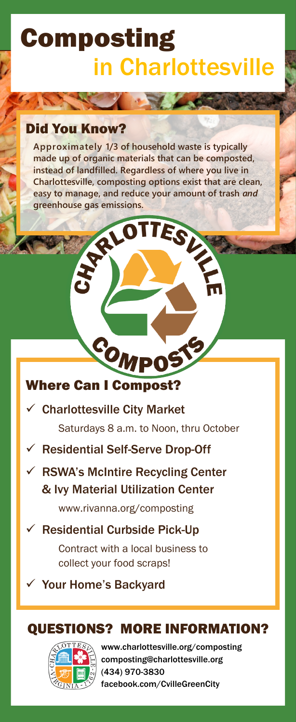# Composting in Charlottesville

TALA

# Did You Know?

**Approximately 1/3 of household waste is typically made up of organic materials that can be composted, instead of landfilled. Regardless of where you live in Charlottesville, composting options exist that are clean, easy to manage, and reduce your amount of trash** *and* **greenhouse gas emissions.**

RIOTTES

## Where Can I Compost?

 $\checkmark$  Charlottesville City Market

Saturdays 8 a.m. to Noon, thru October

- $\checkmark$  Residential Self-Serve Drop-Off
- $\checkmark$  RSWA's McIntire Recycling Center & Ivy Material Utilization Center

[www.rivanna.org/composting](https://www.rivanna.org/composting) 

## $\checkmark$  Residential Curbside Pick-Up

Contract with a local business to collect your food scraps!

Your Home's Backyard  $\checkmark$ 

# QUESTIONS? MORE INFORMATION?

www.charlottesville.org/composting composting@charlottesville.org (434) 970-3830 facebook.com/CvilleGreenCity